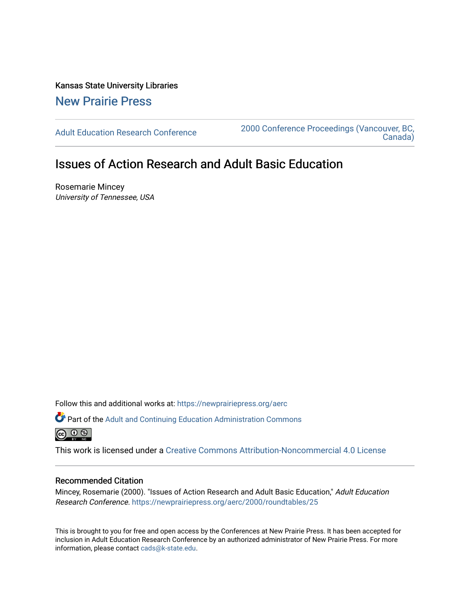Kansas State University Libraries [New Prairie Press](https://newprairiepress.org/) 

[Adult Education Research Conference](https://newprairiepress.org/aerc) [2000 Conference Proceedings \(Vancouver, BC,](https://newprairiepress.org/aerc/2000)  [Canada\)](https://newprairiepress.org/aerc/2000) 

# Issues of Action Research and Adult Basic Education

Rosemarie Mincey University of Tennessee, USA

Follow this and additional works at: [https://newprairiepress.org/aerc](https://newprairiepress.org/aerc?utm_source=newprairiepress.org%2Faerc%2F2000%2Froundtables%2F25&utm_medium=PDF&utm_campaign=PDFCoverPages)

Part of the [Adult and Continuing Education Administration Commons](http://network.bepress.com/hgg/discipline/789?utm_source=newprairiepress.org%2Faerc%2F2000%2Froundtables%2F25&utm_medium=PDF&utm_campaign=PDFCoverPages) 

This work is licensed under a [Creative Commons Attribution-Noncommercial 4.0 License](https://creativecommons.org/licenses/by-nc/4.0/)

## Recommended Citation

Mincey, Rosemarie (2000). "Issues of Action Research and Adult Basic Education," Adult Education Research Conference. <https://newprairiepress.org/aerc/2000/roundtables/25>

This is brought to you for free and open access by the Conferences at New Prairie Press. It has been accepted for inclusion in Adult Education Research Conference by an authorized administrator of New Prairie Press. For more information, please contact [cads@k-state.edu](mailto:cads@k-state.edu).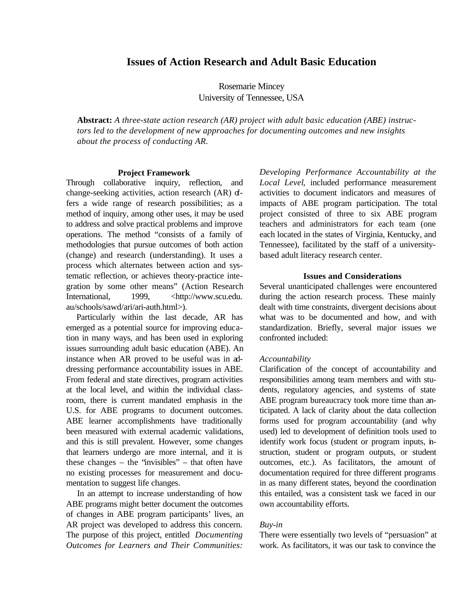## **Issues of Action Research and Adult Basic Education**

Rosemarie Mincey University of Tennessee, USA

**Abstract:** *A three-state action research (AR) project with adult basic education (ABE) instructors led to the development of new approaches for documenting outcomes and new insights about the process of conducting AR.*

#### **Project Framework**

Through collaborative inquiry, reflection, and change-seeking activities, action research (AR) offers a wide range of research possibilities; as a method of inquiry, among other uses, it may be used to address and solve practical problems and improve operations. The method "consists of a family of methodologies that pursue outcomes of both action (change) and research (understanding). It uses a process which alternates between action and systematic reflection, or achieves theory-practice integration by some other means" (Action Research International, 1999,  $\lt{http://www.scu.edu.}$ au/schools/sawd/ari/ari-auth.html>).

Particularly within the last decade, AR has emerged as a potential source for improving education in many ways, and has been used in exploring issues surrounding adult basic education (ABE). An instance when AR proved to be useful was in addressing performance accountability issues in ABE. From federal and state directives, program activities at the local level, and within the individual classroom, there is current mandated emphasis in the U.S. for ABE programs to document outcomes. ABE learner accomplishments have traditionally been measured with external academic validations, and this is still prevalent. However, some changes that learners undergo are more internal, and it is these changes – the "invisibles" – that often have no existing processes for measurement and documentation to suggest life changes.

In an attempt to increase understanding of how ABE programs might better document the outcomes of changes in ABE program participants' lives, an AR project was developed to address this concern. The purpose of this project, entitled *Documenting Outcomes for Learners and Their Communities:* *Developing Performance Accountability at the Local Level*, included performance measurement activities to document indicators and measures of impacts of ABE program participation. The total project consisted of three to six ABE program teachers and administrators for each team (one each located in the states of Virginia, Kentucky, and Tennessee), facilitated by the staff of a universitybased adult literacy research center.

#### **Issues and Considerations**

Several unanticipated challenges were encountered during the action research process. These mainly dealt with time constraints, divergent decisions about what was to be documented and how, and with standardization. Briefly, several major issues we confronted included:

#### *Accountability*

Clarification of the concept of accountability and responsibilities among team members and with students, regulatory agencies, and systems of state ABE program bureaucracy took more time than anticipated. A lack of clarity about the data collection forms used for program accountability (and why used) led to development of definition tools used to identify work focus (student or program inputs, instruction, student or program outputs, or student outcomes, etc.). As facilitators, the amount of documentation required for three different programs in as many different states, beyond the coordination this entailed, was a consistent task we faced in our own accountability efforts.

#### *Buy-in*

There were essentially two levels of "persuasion" at work. As facilitators, it was our task to convince the